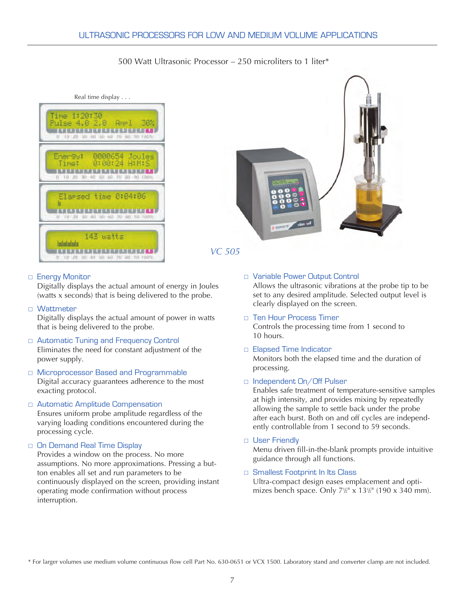# 500 Watt Ultrasonic Processor – 250 microliters to 1 liter\*







## □ Energy Monitor

Digitally displays the actual amount of energy in Joules (watts x seconds) that is being delivered to the probe.

## □ Wattmeter

Digitally displays the actual amount of power in watts that is being delivered to the probe.

## □ Automatic Tuning and Frequency Control

Eliminates the need for constant adjustment of the power supply.

□ Microprocessor Based and Programmable Digital accuracy guarantees adherence to the most exacting protocol.

#### **E** Automatic Amplitude Compensation

Ensures uniform probe amplitude regardless of the varying loading conditions encountered during the processing cycle.

## $\Box$  On Demand Real Time Display

Provides a window on the process. No more assumptions. No more approximations. Pressing a button enables all set and run parameters to be continuously displayed on the screen, providing instant operating mode confirmation without process interruption.

#### □ Variable Power Output Control

Allows the ultrasonic vibrations at the probe tip to be set to any desired amplitude. Selected output level is clearly displayed on the screen.

- □ Ten Hour Process Timer Controls the processing time from 1 second to 10 hours.
- □ Elapsed Time Indicator

Monitors both the elapsed time and the duration of processing.

□ Independent On/Off Pulser

Enables safe treatment of temperature-sensitive samples at high intensity, and provides mixing by repeatedly allowing the sample to settle back under the probe after each burst. Both on and off cycles are independently controllable from 1 second to 59 seconds.

□ User Friendly

Menu driven fill-in-the-blank prompts provide intuitive guidance through all functions.

## □ Smallest Footprint In Its Class

Ultra-compact design eases emplacement and optimizes bench space. Only 7<sup>1/2</sup>" x 13<sup>1</sup>/<sub>2</sub>" (190 x 340 mm).

\* For larger volumes use medium volume continuous flow cell Part No. 630-0651 or VCX 1500. Laboratory stand and converter clamp are not included.